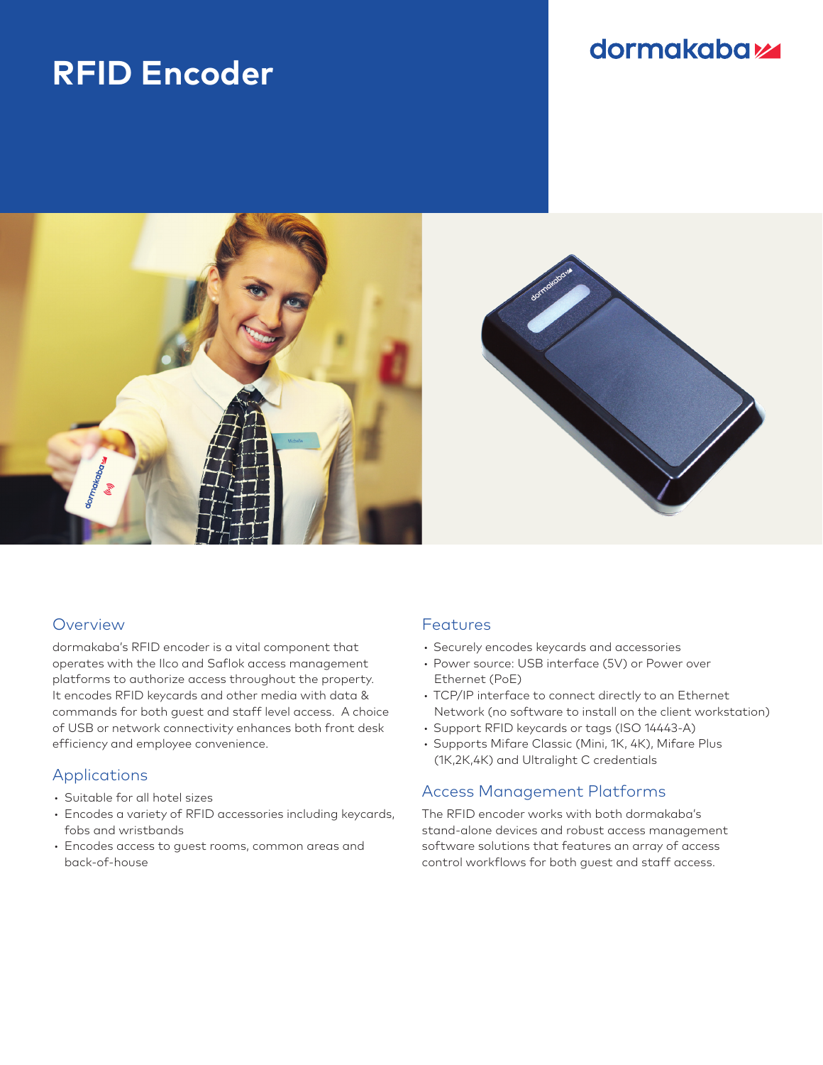# **RFID Encoder**

## dormakabaz



#### Overview

dormakaba's RFID encoder is a vital component that operates with the Ilco and Saflok access management platforms to authorize access throughout the property. It encodes RFID keycards and other media with data & commands for both guest and staff level access. A choice of USB or network connectivity enhances both front desk efficiency and employee convenience.

#### Applications

- Suitable for all hotel sizes
- Encodes a variety of RFID accessories including keycards, fobs and wristbands
- Encodes access to guest rooms, common areas and back-of-house

#### Features

- Securely encodes keycards and accessories
- Power source: USB interface (5V) or Power over Ethernet (PoE)
- TCP/IP interface to connect directly to an Ethernet Network (no software to install on the client workstation)
- Support RFID keycards or tags (ISO 14443-A)
- Supports Mifare Classic (Mini, 1K, 4K), Mifare Plus (1K,2K,4K) and Ultralight C credentials

### Access Management Platforms

The RFID encoder works with both dormakaba's stand-alone devices and robust access management software solutions that features an array of access control workflows for both guest and staff access.